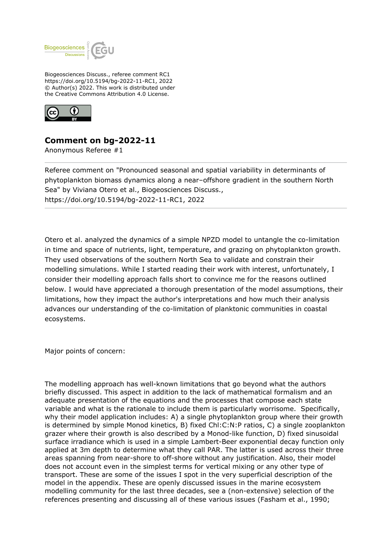

Biogeosciences Discuss., referee comment RC1 https://doi.org/10.5194/bg-2022-11-RC1, 2022 © Author(s) 2022. This work is distributed under the Creative Commons Attribution 4.0 License.



## **Comment on bg-2022-11**

Anonymous Referee #1

Referee comment on "Pronounced seasonal and spatial variability in determinants of phytoplankton biomass dynamics along a near–offshore gradient in the southern North Sea" by Viviana Otero et al., Biogeosciences Discuss., https://doi.org/10.5194/bg-2022-11-RC1, 2022

Otero et al. analyzed the dynamics of a simple NPZD model to untangle the co-limitation in time and space of nutrients, light, temperature, and grazing on phytoplankton growth. They used observations of the southern North Sea to validate and constrain their modelling simulations. While I started reading their work with interest, unfortunately, I consider their modelling approach falls short to convince me for the reasons outlined below. I would have appreciated a thorough presentation of the model assumptions, their limitations, how they impact the author's interpretations and how much their analysis advances our understanding of the co-limitation of planktonic communities in coastal ecosystems.

Major points of concern:

The modelling approach has well-known limitations that go beyond what the authors briefly discussed. This aspect in addition to the lack of mathematical formalism and an adequate presentation of the equations and the processes that compose each state variable and what is the rationale to include them is particularly worrisome. Specifically, why their model application includes: A) a single phytoplankton group where their growth is determined by simple Monod kinetics, B) fixed Chl:C:N:P ratios, C) a single zooplankton grazer where their growth is also described by a Monod-like function, D) fixed sinusoidal surface irradiance which is used in a simple Lambert-Beer exponential decay function only applied at 3m depth to determine what they call PAR. The latter is used across their three areas spanning from near-shore to off-shore without any justification. Also, their model does not account even in the simplest terms for vertical mixing or any other type of transport. These are some of the issues I spot in the very superficial description of the model in the appendix. These are openly discussed issues in the marine ecosystem modelling community for the last three decades, see a (non-extensive) selection of the references presenting and discussing all of these various issues (Fasham et al., 1990;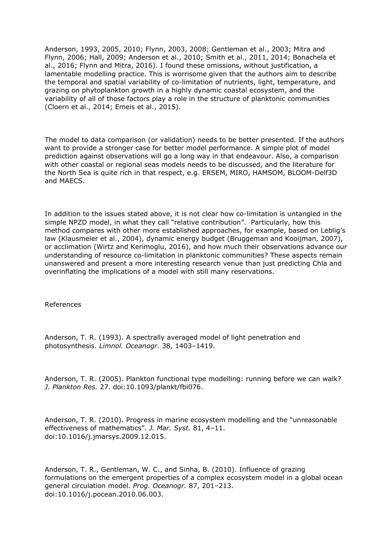Anderson, 1993, 2005, 2010; Flynn, 2003, 2008; Gentleman et al., 2003; Mitra and Flynn, 2006; Hall, 2009; Anderson et al., 2010; Smith et al., 2011, 2014; Bonachela et al., 2016; Flynn and Mitra, 2016). I found these omissions, without justification, a lamentable modelling practice. This is worrisome given that the authors aim to describe the temporal and spatial variability of co-limitation of nutrients, light, temperature, and grazing on phytoplankton growth in a highly dynamic coastal ecosystem, and the variability of all of those factors play a role in the structure of planktonic communities (Cloern et al., 2014; Emeis et al., 2015).

The model to data comparison (or validation) needs to be better presented. If the authors want to provide a stronger case for better model performance. A simple plot of model prediction against observations will go a long way in that endeavour. Also, a comparison with other coastal or regional seas models needs to be discussed, and the literature for the North Sea is quite rich in that respect, e.g. ERSEM, MIRO, HAMSOM, BLOOM-Delf3D and MAECS.

In addition to the issues stated above, it is not clear how co-limitation is untangled in the simple NPZD model, in what they call "relative contribution". Particularly, how this method compares with other more established approaches, for example, based on Leblig's law (Klausmeier et al., 2004), dynamic energy budget (Bruggeman and Kooijman, 2007), or acclimation (Wirtz and Kerimoglu, 2016), and how much their observations advance our understanding of resource co-limitation in planktonic communities? These aspects remain unanswered and present a more interesting research venue than just predicting Chla and overinflating the implications of a model with still many reservations.

## References

Anderson, T. R. (1993). A spectrally averaged model of light penetration and photosynthesis. *Limnol. Oceanogr.* 38, 1403–1419.

Anderson, T. R. (2005). Plankton functional type modelling: running before we can walk? *J. Plankton Res.* 27. doi:10.1093/plankt/fbi076.

Anderson, T. R. (2010). Progress in marine ecosystem modelling and the "unreasonable effectiveness of mathematics". *J. Mar. Syst.* 81, 4–11. doi:10.1016/j.jmarsys.2009.12.015.

Anderson, T. R., Gentleman, W. C., and Sinha, B. (2010). Influence of grazing formulations on the emergent properties of a complex ecosystem model in a global ocean general circulation model. *Prog. Oceanogr.* 87, 201–213. doi:10.1016/j.pocean.2010.06.003.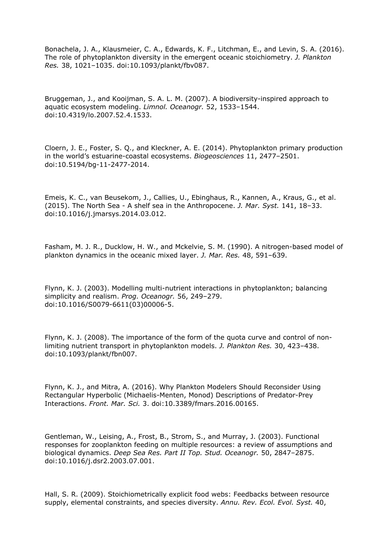Bonachela, J. A., Klausmeier, C. A., Edwards, K. F., Litchman, E., and Levin, S. A. (2016). The role of phytoplankton diversity in the emergent oceanic stoichiometry. *J. Plankton Res.* 38, 1021–1035. doi:10.1093/plankt/fbv087.

Bruggeman, J., and Kooijman, S. A. L. M. (2007). A biodiversity-inspired approach to aquatic ecosystem modeling. *Limnol. Oceanogr.* 52, 1533–1544. doi:10.4319/lo.2007.52.4.1533.

Cloern, J. E., Foster, S. Q., and Kleckner, A. E. (2014). Phytoplankton primary production in the world's estuarine-coastal ecosystems. *Biogeosciences* 11, 2477–2501. doi:10.5194/bg-11-2477-2014.

Emeis, K. C., van Beusekom, J., Callies, U., Ebinghaus, R., Kannen, A., Kraus, G., et al. (2015). The North Sea - A shelf sea in the Anthropocene. *J. Mar. Syst.* 141, 18–33. doi:10.1016/j.jmarsys.2014.03.012.

Fasham, M. J. R., Ducklow, H. W., and Mckelvie, S. M. (1990). A nitrogen-based model of plankton dynamics in the oceanic mixed layer. *J. Mar. Res.* 48, 591–639.

Flynn, K. J. (2003). Modelling multi-nutrient interactions in phytoplankton; balancing simplicity and realism. *Prog. Oceanogr.* 56, 249–279. doi:10.1016/S0079-6611(03)00006-5.

Flynn, K. J. (2008). The importance of the form of the quota curve and control of nonlimiting nutrient transport in phytoplankton models. *J. Plankton Res.* 30, 423–438. doi:10.1093/plankt/fbn007.

Flynn, K. J., and Mitra, A. (2016). Why Plankton Modelers Should Reconsider Using Rectangular Hyperbolic (Michaelis-Menten, Monod) Descriptions of Predator-Prey Interactions. *Front. Mar. Sci.* 3. doi:10.3389/fmars.2016.00165.

Gentleman, W., Leising, A., Frost, B., Strom, S., and Murray, J. (2003). Functional responses for zooplankton feeding on multiple resources: a review of assumptions and biological dynamics. *Deep Sea Res. Part II Top. Stud. Oceanogr.* 50, 2847–2875. doi:10.1016/j.dsr2.2003.07.001.

Hall, S. R. (2009). Stoichiometrically explicit food webs: Feedbacks between resource supply, elemental constraints, and species diversity. *Annu. Rev. Ecol. Evol. Syst.* 40,